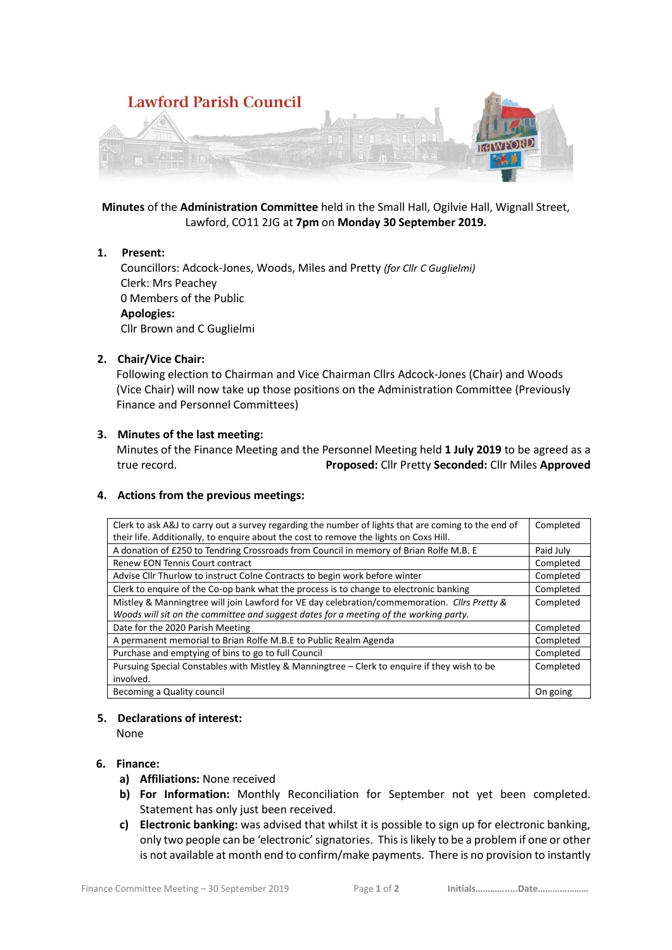

**Minutes** of the **Administration Committee** held in the Small Hall, Ogilvie Hall, Wignall Street, Lawford, CO11 2JG at **7pm** on **Monday 30 September 2019.**

### **1. Present:**

 Councillors: Adcock-Jones, Woods, Miles and Pretty *(for Cllr C Guglielmi)* Clerk: Mrs Peachey 0 Members of the Public **Apologies:** Cllr Brown and C Guglielmi

### **2. Chair/Vice Chair:**

Following election to Chairman and Vice Chairman Cllrs Adcock-Jones (Chair) and Woods (Vice Chair) will now take up those positions on the Administration Committee (Previously Finance and Personnel Committees)

### **3. Minutes of the last meeting:**

Minutes of the Finance Meeting and the Personnel Meeting held **1 July 2019** to be agreed as a true record. **Proposed:** Cllr Pretty **Seconded:** Cllr Miles **Approved**

#### **4. Actions from the previous meetings:**

| Clerk to ask A&J to carry out a survey regarding the number of lights that are coming to the end of | Completed |
|-----------------------------------------------------------------------------------------------------|-----------|
| their life. Additionally, to enquire about the cost to remove the lights on Coxs Hill.              |           |
| A donation of £250 to Tendring Crossroads from Council in memory of Brian Rolfe M.B. E              | Paid July |
| Renew EON Tennis Court contract                                                                     | Completed |
| Advise Cllr Thurlow to instruct Colne Contracts to begin work before winter                         | Completed |
| Clerk to enquire of the Co-op bank what the process is to change to electronic banking              | Completed |
| Mistley & Manningtree will join Lawford for VE day celebration/commemoration. Cllrs Pretty &        | Completed |
| Woods will sit on the committee and suggest dates for a meeting of the working party.               |           |
| Date for the 2020 Parish Meeting                                                                    | Completed |
| A permanent memorial to Brian Rolfe M.B.E to Public Realm Agenda                                    | Completed |
| Purchase and emptying of bins to go to full Council                                                 | Completed |
| Pursuing Special Constables with Mistley & Manningtree - Clerk to enguire if they wish to be        | Completed |
| involved.                                                                                           |           |
| Becoming a Quality council                                                                          | On going  |

#### **5. Declarations of interest:**

None

## **6. Finance:**

- **a) Affiliations:** None received
- **b) For Information:** Monthly Reconciliation for September not yet been completed. Statement has only just been received.
- **c) Electronic banking:** was advised that whilst it is possible to sign up for electronic banking, only two people can be 'electronic' signatories. This is likely to be a problem if one or other is not available at month end to confirm/make payments. There is no provision to instantly